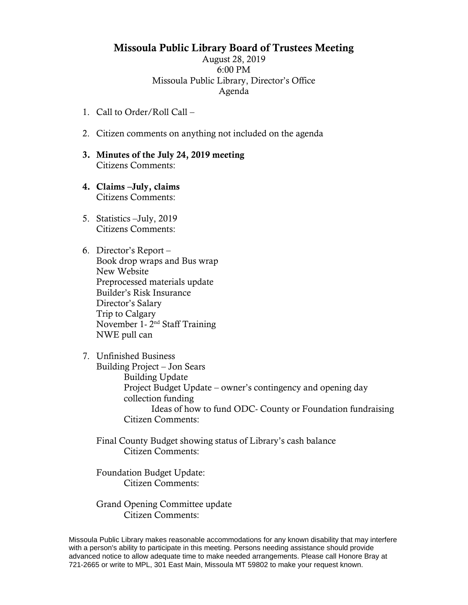## Missoula Public Library Board of Trustees Meeting

August 28, 2019 6:00 PM Missoula Public Library, Director's Office Agenda

- 1. Call to Order/Roll Call –
- 2. Citizen comments on anything not included on the agenda
- 3. Minutes of the July 24, 2019 meeting Citizens Comments:
- 4. Claims –July, claims Citizens Comments:
- 5. Statistics –July, 2019 Citizens Comments:
- 6. Director's Report Book drop wraps and Bus wrap New Website Preprocessed materials update Builder's Risk Insurance Director's Salary Trip to Calgary November 1 - 2<sup>nd</sup> Staff Training NWE pull can
- 7. Unfinished Business Building Project – Jon Sears Building Update Project Budget Update – owner's contingency and opening day collection funding Ideas of how to fund ODC- County or Foundation fundraising Citizen Comments:
	- Final County Budget showing status of Library's cash balance Citizen Comments:

Foundation Budget Update: Citizen Comments:

Grand Opening Committee update Citizen Comments:

Missoula Public Library makes reasonable accommodations for any known disability that may interfere with a person's ability to participate in this meeting. Persons needing assistance should provide advanced notice to allow adequate time to make needed arrangements. Please call Honore Bray at 721-2665 or write to MPL, 301 East Main, Missoula MT 59802 to make your request known.